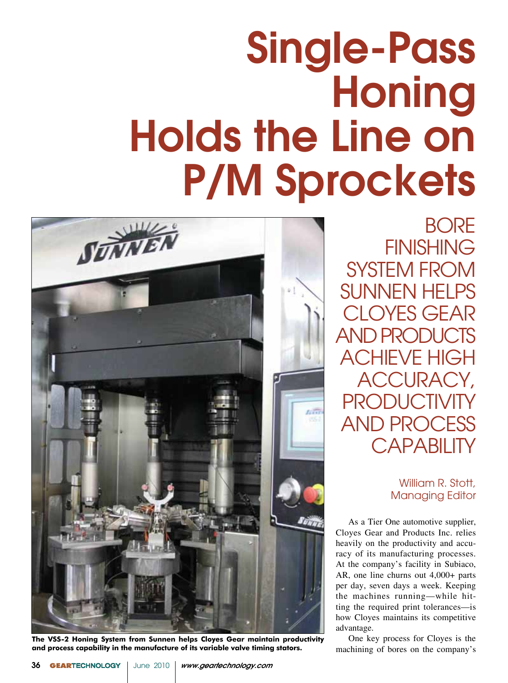## Single-Pass **Honing** Holds the Line on P/M Sprockets



**The VSS-2 Honing System from Sunnen helps Cloyes Gear maintain productivity and process capability in the manufacture of its variable valve timing stators.**

**BORE FINISHING** SYSTEM FROM SUNNEN HELPS CLOYES GEAR AND PRODUCTS ACHIEVE HIGH ACCURACY, **PRODUCTIVIT** AND PROCESS CAPABILITY

> William R. Stott, Managing Editor

As a Tier One automotive supplier, Cloyes Gear and Products Inc. relies heavily on the productivity and accuracy of its manufacturing processes. At the company's facility in Subiaco, AR, one line churns out 4,000+ parts per day, seven days a week. Keeping the machines running—while hitting the required print tolerances—is how Cloyes maintains its competitive advantage.

One key process for Cloyes is the machining of bores on the company's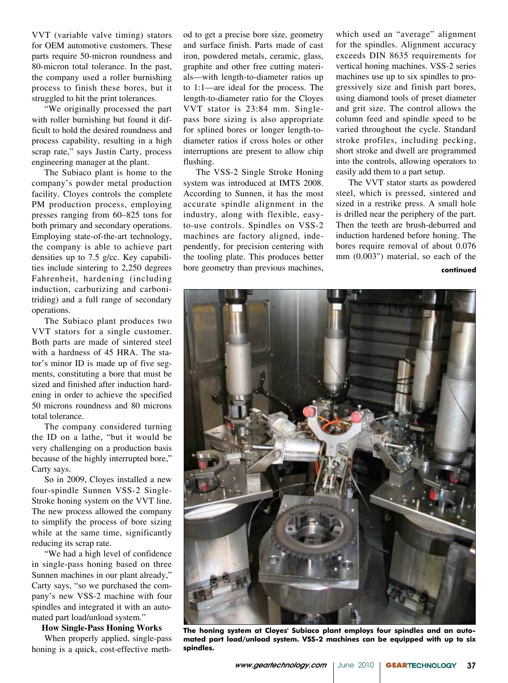VVT (variable valve timing) stators for OEM automotive customers. These parts require 50-micron roundness and 80-micron total tolerance. In the past, the company used a roller burnishing process to finish these bores, but it struggled to hit the print tolerances.

"We originally processed the part with roller burnishing but found it difficult to hold the desired roundness and process capability, resulting in a high scrap rate," says Justin Carty, process engineering manager at the plant.

The Subiaco plant is home to the company's powder metal production facility. Cloyes controls the complete PM production process, employing presses ranging from 60–825 tons for both primary and secondary operations. Employing state-of-the-art technology, the company is able to achieve part densities up to 7.5 g/cc. Key capabilities include sintering to 2,250 degrees Fahrenheit, hardening (including induction, carburizing and carbonitriding) and a full range of secondary operations.

The Subiaco plant produces two VVT stators for a single customer. Both parts are made of sintered steel with a hardness of 45 HRA. The stator's minor ID is made up of five segments, constituting a bore that must be sized and finished after induction hardening in order to achieve the specified 50 microns roundness and 80 microns total tolerance.

The company considered turning the ID on a lathe, "but it would be very challenging on a production basis because of the highly interrupted bore," Carty says.

So in 2009, Cloyes installed a new four-spindle Sunnen VSS-2 Single-Stroke honing system on the VVT line. The new process allowed the company to simplify the process of bore sizing while at the same time, significantly reducing its scrap rate.

"We had a high level of confidence in single-pass honing based on three Sunnen machines in our plant already," Carty says, "so we purchased the company's new VSS-2 machine with four spindles and integrated it with an automated part load/unload system."

## **How Single-Pass Honing Works**

When properly applied, single-pass honing is a quick, cost-effective method to get a precise bore size, geometry and surface finish. Parts made of cast iron, powdered metals, ceramic, glass, graphite and other free cutting materials—with length-to-diameter ratios up to 1:1—are ideal for the process. The length-to-diameter ratio for the Cloyes VVT stator is 23:84 mm. Singlepass bore sizing is also appropriate for splined bores or longer length-todiameter ratios if cross holes or other interruptions are present to allow chip flushing.

The VSS-2 Single Stroke Honing system was introduced at IMTS 2008. According to Sunnen, it has the most accurate spindle alignment in the industry, along with flexible, easyto-use controls. Spindles on VSS-2 machines are factory aligned, independently, for precision centering with the tooling plate. This produces better bore geometry than previous machines, which used an "average" alignment for the spindles. Alignment accuracy exceeds DIN 8635 requirements for vertical honing machines. VSS-2 series machines use up to six spindles to progressively size and finish part bores, using diamond tools of preset diameter and grit size. The control allows the column feed and spindle speed to be varied throughout the cycle. Standard stroke profiles, including pecking, short stroke and dwell are programmed into the controls, allowing operators to easily add them to a part setup.

The VVT stator starts as powdered steel, which is pressed, sintered and sized in a restrike press. A small hole is drilled near the periphery of the part. Then the teeth are brush-deburred and induction hardened before honing. The bores require removal of about 0.076 mm (0.003") material, so each of the

**continued**



**The honing system at Cloyes' Subiaco plant employs four spindles and an automated part load/unload system. VSS-2 machines can be equipped with up to six spindles.**